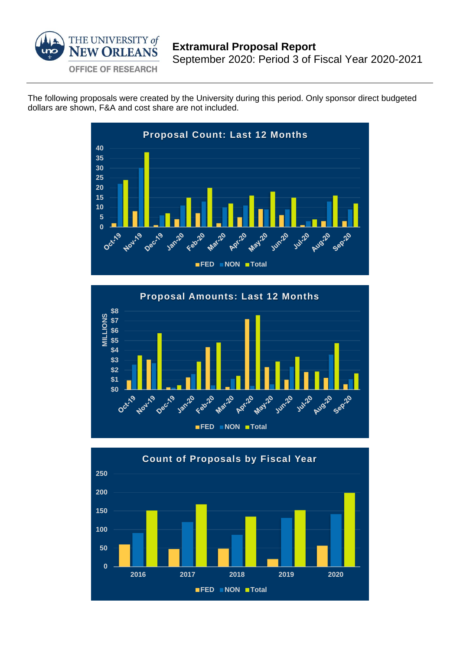

The following proposals were created by the University during this period. Only sponsor direct budgeted dollars are shown, F&A and cost share are not included.





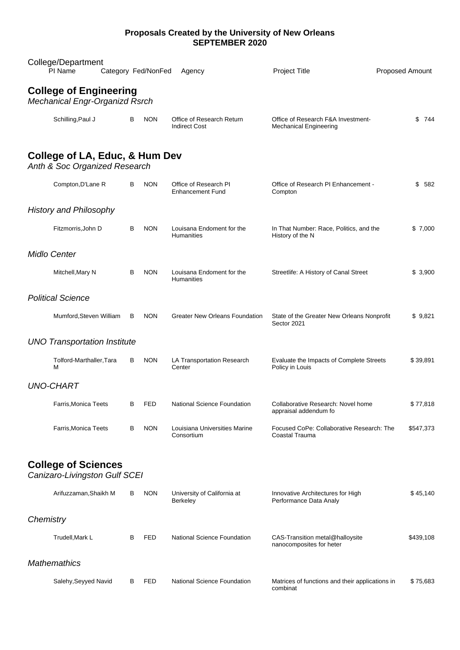## **Proposals Created by the University of New Orleans SEPTEMBER 2020**

|           | College/Department<br>PI Name                                          | Category Fed/NonFed | Agency                                           |                                       | Project Title                                                       | Proposed Amount |
|-----------|------------------------------------------------------------------------|---------------------|--------------------------------------------------|---------------------------------------|---------------------------------------------------------------------|-----------------|
|           | <b>College of Engineering</b><br><b>Mechanical Engr-Organizd Rsrch</b> |                     |                                                  |                                       |                                                                     |                 |
|           | Schilling, Paul J                                                      | В<br><b>NON</b>     | <b>Indirect Cost</b>                             | Office of Research Return             | Office of Research F&A Investment-<br><b>Mechanical Engineering</b> | \$744           |
|           | College of LA, Educ, & Hum Dev<br>Anth & Soc Organized Research        |                     |                                                  |                                       |                                                                     |                 |
|           | Compton, D'Lane R                                                      | B<br><b>NON</b>     | Office of Research PI<br><b>Enhancement Fund</b> |                                       | Office of Research PI Enhancement -<br>Compton                      | \$ 582          |
|           | <b>History and Philosophy</b>                                          |                     |                                                  |                                       |                                                                     |                 |
|           | Fitzmorris, John D                                                     | В<br><b>NON</b>     | <b>Humanities</b>                                | Louisana Endoment for the             | In That Number: Race, Politics, and the<br>History of the N         | \$7,000         |
|           | <b>Midlo Center</b>                                                    |                     |                                                  |                                       |                                                                     |                 |
|           | Mitchell, Mary N                                                       | B<br><b>NON</b>     | <b>Humanities</b>                                | Louisana Endoment for the             | Streetlife: A History of Canal Street                               | \$3,900         |
|           | <b>Political Science</b>                                               |                     |                                                  |                                       |                                                                     |                 |
|           | Mumford, Steven William                                                | B<br><b>NON</b>     |                                                  | <b>Greater New Orleans Foundation</b> | State of the Greater New Orleans Nonprofit<br>Sector 2021           | \$9,821         |
|           | <b>UNO Transportation Institute</b>                                    |                     |                                                  |                                       |                                                                     |                 |
|           | Tolford-Marthaller, Tara<br>м                                          | <b>NON</b><br>В     | Center                                           | LA Transportation Research            | Evaluate the Impacts of Complete Streets<br>Policy in Louis         | \$39,891        |
|           | <b>UNO-CHART</b>                                                       |                     |                                                  |                                       |                                                                     |                 |
|           | Farris, Monica Teets                                                   | в<br>FED            |                                                  | National Science Foundation           | Collaborative Research: Novel home<br>appraisal addendum fo         | \$ 77,818       |
|           | Farris, Monica Teets                                                   | <b>NON</b><br>В     | Consortium                                       | Louisiana Universities Marine         | Focused CoPe: Collaborative Research: The<br>Coastal Trauma         | \$547,373       |
|           | <b>College of Sciences</b><br>Canizaro-Livingston Gulf SCEI            |                     |                                                  |                                       |                                                                     |                 |
|           | Arifuzzaman, Shaikh M                                                  | <b>NON</b><br>В     | Berkeley                                         | University of California at           | Innovative Architectures for High<br>Performance Data Analy         | \$45,140        |
| Chemistry |                                                                        |                     |                                                  |                                       |                                                                     |                 |
|           | Trudell, Mark L                                                        | FED<br>В            |                                                  | National Science Foundation           | CAS-Transition metal@halloysite<br>nanocomposites for heter         | \$439,108       |
|           | <b>Mathemathics</b>                                                    |                     |                                                  |                                       |                                                                     |                 |
|           | Salehy, Seyyed Navid                                                   | B<br>FED            |                                                  | National Science Foundation           | Matrices of functions and their applications in<br>combinat         | \$75,683        |